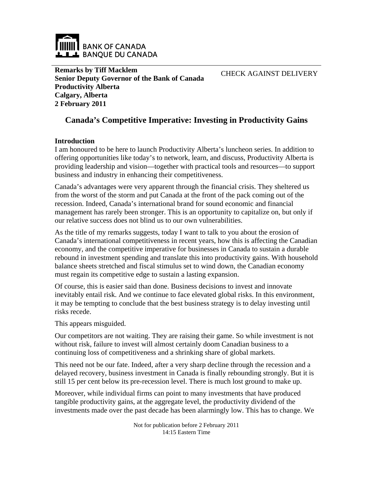

**Remarks by Tiff Macklem Senior Deputy Governor of the Bank of Canada Productivity Alberta Calgary, Alberta 2 February 2011**

CHECK AGAINST DELIVERY

## **Canada's Competitive Imperative: Investing in Productivity Gains**

#### **Introduction**

I am honoured to be here to launch Productivity Alberta's luncheon series. In addition to offering opportunities like today's to network, learn, and discuss, Productivity Alberta is providing leadership and vision—together with practical tools and resources—to support business and industry in enhancing their competitiveness.

Canada's advantages were very apparent through the financial crisis. They sheltered us from the worst of the storm and put Canada at the front of the pack coming out of the recession. Indeed, Canada's international brand for sound economic and financial management has rarely been stronger. This is an opportunity to capitalize on, but only if our relative success does not blind us to our own vulnerabilities.

As the title of my remarks suggests, today I want to talk to you about the erosion of Canada's international competitiveness in recent years, how this is affecting the Canadian economy, and the competitive imperative for businesses in Canada to sustain a durable rebound in investment spending and translate this into productivity gains. With household balance sheets stretched and fiscal stimulus set to wind down, the Canadian economy must regain its competitive edge to sustain a lasting expansion.

Of course, this is easier said than done. Business decisions to invest and innovate inevitably entail risk. And we continue to face elevated global risks. In this environment, it may be tempting to conclude that the best business strategy is to delay investing until risks recede.

This appears misguided.

Our competitors are not waiting. They are raising their game. So while investment is not without risk, failure to invest will almost certainly doom Canadian business to a continuing loss of competitiveness and a shrinking share of global markets.

This need not be our fate. Indeed, after a very sharp decline through the recession and a delayed recovery, business investment in Canada is finally rebounding strongly. But it is still 15 per cent below its pre-recession level. There is much lost ground to make up.

Moreover, while individual firms can point to many investments that have produced tangible productivity gains, at the aggregate level, the productivity dividend of the investments made over the past decade has been alarmingly low. This has to change. We

> Not for publication before 2 February 2011 14:15 Eastern Time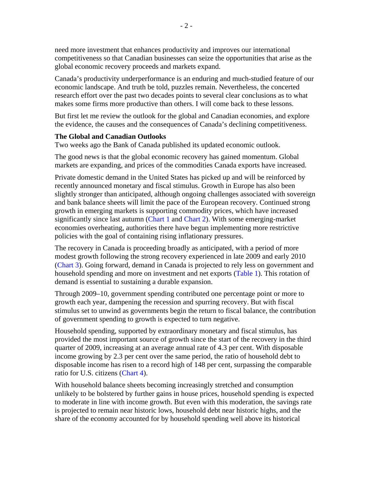need more investment that enhances productivity and improves our international competitiveness so that Canadian businesses can seize the opportunities that arise as the global economic recovery proceeds and markets expand.

Canada's productivity underperformance is an enduring and much-studied feature of our economic landscape. And truth be told, puzzles remain. Nevertheless, the concerted research effort over the past two decades points to several clear conclusions as to what makes some firms more productive than others. I will come back to these lessons.

But first let me review the outlook for the global and Canadian economies, and explore the evidence, the causes and the consequences of Canada's declining competitiveness.

#### **The Global and Canadian Outlooks**

Two weeks ago the Bank of Canada published its updated economic outlook.

The good news is that the global economic recovery has gained momentum. Global markets are expanding, and prices of the commodities Canada exports have increased.

Private domestic demand in the United States has picked up and will be reinforced by recently announced monetary and fiscal stimulus. Growth in Europe has also been slightly stronger than anticipated, although ongoing challenges associated with sovereign and bank balance sheets will limit the pace of the European recovery. Continued strong growth in emerging markets is supporting commodity prices, which have increased significantly since last autumn ([Chart 1](#page-7-0) and [Chart 2](#page-7-0)). With some emerging-market economies overheating, authorities there have begun implementing more restrictive policies with the goal of containing rising inflationary pressures.

The recovery in Canada is proceeding broadly as anticipated, with a period of more modest growth following the strong recovery experienced in late 2009 and early 2010 ([Chart 3](#page-8-0)). Going forward, demand in Canada is projected to rely less on government and household spending and more on investment and net exports [\(Table 1\)](#page-9-0). This rotation of demand is essential to sustaining a durable expansion.

Through 2009–10, government spending contributed one percentage point or more to growth each year, dampening the recession and spurring recovery. But with fiscal stimulus set to unwind as governments begin the return to fiscal balance, the contribution of government spending to growth is expected to turn negative.

Household spending, supported by extraordinary monetary and fiscal stimulus, has provided the most important source of growth since the start of the recovery in the third quarter of 2009, increasing at an average annual rate of 4.3 per cent. With disposable income growing by 2.3 per cent over the same period, the ratio of household debt to disposable income has risen to a record high of 148 per cent, surpassing the comparable ratio for U.S. citizens [\(Chart 4\)](#page-8-0).

With household balance sheets becoming increasingly stretched and consumption unlikely to be bolstered by further gains in house prices, household spending is expected to moderate in line with income growth. But even with this moderation, the savings rate is projected to remain near historic lows, household debt near historic highs, and the share of the economy accounted for by household spending well above its historical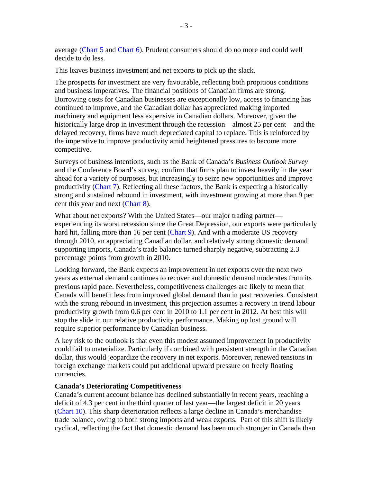average ([Chart 5](#page-10-0) and [Chart 6\)](#page-10-0). Prudent consumers should do no more and could well decide to do less.

This leaves business investment and net exports to pick up the slack.

The prospects for investment are very favourable, reflecting both propitious conditions and business imperatives. The financial positions of Canadian firms are strong. Borrowing costs for Canadian businesses are exceptionally low, access to financing has continued to improve, and the Canadian dollar has appreciated making imported machinery and equipment less expensive in Canadian dollars. Moreover, given the historically large drop in investment through the recession—almost 25 per cent—and the delayed recovery, firms have much depreciated capital to replace. This is reinforced by the imperative to improve productivity amid heightened pressures to become more competitive.

Surveys of business intentions, such as the Bank of Canada's *Business Outlook Survey* and the Conference Board's survey, confirm that firms plan to invest heavily in the year ahead for a variety of purposes, but increasingly to seize new opportunities and improve productivity ([Chart 7](#page-11-0)). Reflecting all these factors, the Bank is expecting a historically strong and sustained rebound in investment, with investment growing at more than 9 per cent this year and next [\(Chart 8\)](#page-11-0).

What about net exports? With the United States—our major trading partner experiencing its worst recession since the Great Depression, our exports were particularly hard hit, falling more than 16 per cent [\(Chart 9\)](#page-12-0). And with a moderate US recovery through 2010, an appreciating Canadian dollar, and relatively strong domestic demand supporting imports, Canada's trade balance turned sharply negative, subtracting 2.3 percentage points from growth in 2010.

Looking forward, the Bank expects an improvement in net exports over the next two years as external demand continues to recover and domestic demand moderates from its previous rapid pace. Nevertheless, competitiveness challenges are likely to mean that Canada will benefit less from improved global demand than in past recoveries. Consistent with the strong rebound in investment, this projection assumes a recovery in trend labour productivity growth from 0.6 per cent in 2010 to 1.1 per cent in 2012. At best this will stop the slide in our relative productivity performance. Making up lost ground will require superior performance by Canadian business.

A key risk to the outlook is that even this modest assumed improvement in productivity could fail to materialize. Particularly if combined with persistent strength in the Canadian dollar, this would jeopardize the recovery in net exports. Moreover, renewed tensions in foreign exchange markets could put additional upward pressure on freely floating currencies.

#### **Canada's Deteriorating Competitiveness**

Canada's current account balance has declined substantially in recent years, reaching a deficit of 4.3 per cent in the third quarter of last year—the largest deficit in 20 years ([Chart 10\)](#page-12-0). This sharp deterioration reflects a large decline in Canada's merchandise trade balance, owing to both strong imports and weak exports. Part of this shift is likely cyclical, reflecting the fact that domestic demand has been much stronger in Canada than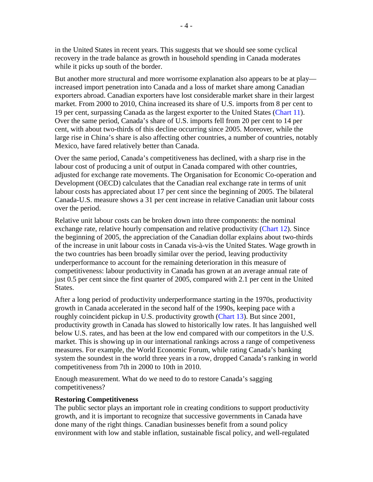in the United States in recent years. This suggests that we should see some cyclical recovery in the trade balance as growth in household spending in Canada moderates while it picks up south of the border.

But another more structural and more worrisome explanation also appears to be at play increased import penetration into Canada and a loss of market share among Canadian exporters abroad. Canadian exporters have lost considerable market share in their largest market. From 2000 to 2010, China increased its share of U.S. imports from 8 per cent to 19 per cent, surpassing Canada as the largest exporter to the United States ([Chart 11\)](#page-13-0). Over the same period, Canada's share of U.S. imports fell from 20 per cent to 14 per cent, with about two-thirds of this decline occurring since 2005. Moreover, while the large rise in China's share is also affecting other countries, a number of countries, notably Mexico, have fared relatively better than Canada.

Over the same period, Canada's competitiveness has declined, with a sharp rise in the labour cost of producing a unit of output in Canada compared with other countries, adjusted for exchange rate movements. The Organisation for Economic Co-operation and Development (OECD) calculates that the Canadian real exchange rate in terms of unit labour costs has appreciated about 17 per cent since the beginning of 2005. The bilateral Canada-U.S. measure shows a 31 per cent increase in relative Canadian unit labour costs over the period.

Relative unit labour costs can be broken down into three components: the nominal exchange rate, relative hourly compensation and relative productivity ([Chart 12\)](#page-13-0). Since the beginning of 2005, the appreciation of the Canadian dollar explains about two-thirds of the increase in unit labour costs in Canada vis-à-vis the United States. Wage growth in the two countries has been broadly similar over the period, leaving productivity underperformance to account for the remaining deterioration in this measure of competitiveness: labour productivity in Canada has grown at an average annual rate of just 0.5 per cent since the first quarter of 2005, compared with 2.1 per cent in the United States.

After a long period of productivity underperformance starting in the 1970s, productivity growth in Canada accelerated in the second half of the 1990s, keeping pace with a roughly coincident pickup in U.S. productivity growth ([Chart 13](#page-14-0)). But since 2001, productivity growth in Canada has slowed to historically low rates. It has languished well below U.S. rates, and has been at the low end compared with our competitors in the U.S. market. This is showing up in our international rankings across a range of competiveness measures. For example, the World Economic Forum, while rating Canada's banking system the soundest in the world three years in a row, dropped Canada's ranking in world competitiveness from 7th in 2000 to 10th in 2010.

Enough measurement. What do we need to do to restore Canada's sagging competitiveness?

#### **Restoring Competitiveness**

The public sector plays an important role in creating conditions to support productivity growth, and it is important to recognize that successive governments in Canada have done many of the right things. Canadian businesses benefit from a sound policy environment with low and stable inflation, sustainable fiscal policy, and well-regulated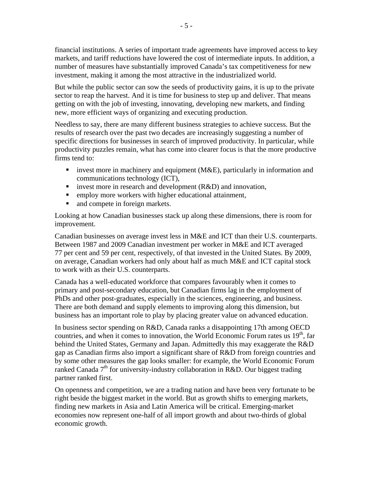financial institutions. A series of important trade agreements have improved access to key markets, and tariff reductions have lowered the cost of intermediate inputs. In addition, a number of measures have substantially improved Canada's tax competitiveness for new investment, making it among the most attractive in the industrialized world.

But while the public sector can sow the seeds of productivity gains, it is up to the private sector to reap the harvest. And it is time for business to step up and deliver. That means getting on with the job of investing, innovating, developing new markets, and finding new, more efficient ways of organizing and executing production.

Needless to say, there are many different business strategies to achieve success. But the results of research over the past two decades are increasingly suggesting a number of specific directions for businesses in search of improved productivity. In particular, while productivity puzzles remain, what has come into clearer focus is that the more productive firms tend to:

- invest more in machinery and equipment ( $M&E$ ), particularly in information and communications technology (ICT),
- invest more in research and development  $(R&D)$  and innovation,
- **EXECUTE:** employ more workers with higher educational attainment,
- and compete in foreign markets.

Looking at how Canadian businesses stack up along these dimensions, there is room for improvement.

Canadian businesses on average invest less in M&E and ICT than their U.S. counterparts. Between 1987 and 2009 Canadian investment per worker in M&E and ICT averaged 77 per cent and 59 per cent, respectively, of that invested in the United States. By 2009, on average, Canadian workers had only about half as much M&E and ICT capital stock to work with as their U.S. counterparts.

Canada has a well-educated workforce that compares favourably when it comes to primary and post-secondary education, but Canadian firms lag in the employment of PhDs and other post-graduates, especially in the sciences, engineering, and business. There are both demand and supply elements to improving along this dimension, but business has an important role to play by placing greater value on advanced education.

In business sector spending on R&D, Canada ranks a disappointing 17th among OECD countries, and when it comes to innovation, the World Economic Forum rates us  $19<sup>th</sup>$ , far behind the United States, Germany and Japan. Admittedly this may exaggerate the R&D gap as Canadian firms also import a significant share of R&D from foreign countries and by some other measures the gap looks smaller: for example, the World Economic Forum ranked Canada  $7<sup>th</sup>$  for university-industry collaboration in R&D. Our biggest trading partner ranked first.

On openness and competition, we are a trading nation and have been very fortunate to be right beside the biggest market in the world. But as growth shifts to emerging markets, finding new markets in Asia and Latin America will be critical. Emerging-market economies now represent one-half of all import growth and about two-thirds of global economic growth.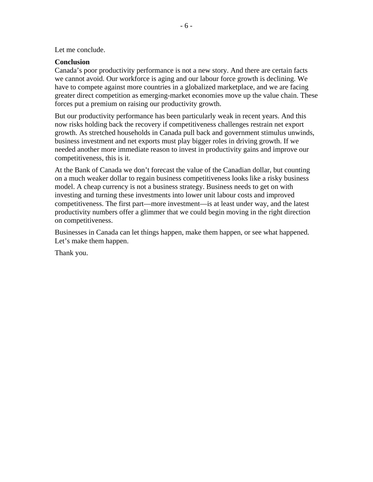#### Let me conclude.

#### **Conclusion**

Canada's poor productivity performance is not a new story. And there are certain facts we cannot avoid. Our workforce is aging and our labour force growth is declining. We have to compete against more countries in a globalized marketplace, and we are facing greater direct competition as emerging-market economies move up the value chain. These forces put a premium on raising our productivity growth.

But our productivity performance has been particularly weak in recent years. And this now risks holding back the recovery if competitiveness challenges restrain net export growth. As stretched households in Canada pull back and government stimulus unwinds, business investment and net exports must play bigger roles in driving growth. If we needed another more immediate reason to invest in productivity gains and improve our competitiveness, this is it.

At the Bank of Canada we don't forecast the value of the Canadian dollar, but counting on a much weaker dollar to regain business competitiveness looks like a risky business model. A cheap currency is not a business strategy. Business needs to get on with investing and turning these investments into lower unit labour costs and improved competitiveness. The first part—more investment—is at least under way, and the latest productivity numbers offer a glimmer that we could begin moving in the right direction on competitiveness.

Businesses in Canada can let things happen, make them happen, or see what happened. Let's make them happen.

Thank you.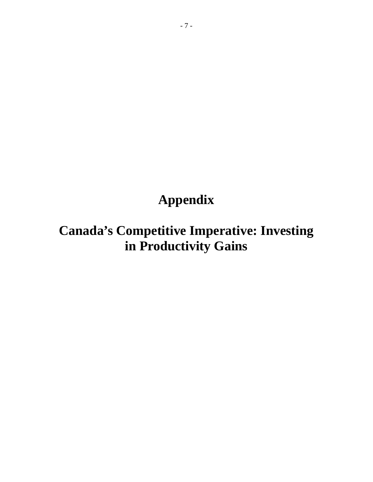# **Appendix**

# **Canada's Competitive Imperative: Investing in Productivity Gains**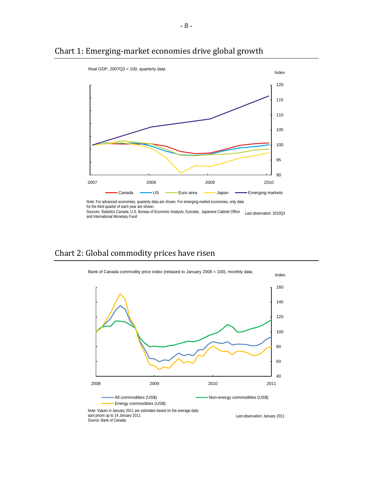

## <span id="page-7-0"></span>Chart 1: Emerging‐market economies drive global growth

Note: For advanced economies, quarterly data are shown. For emerging-market economies, only data for the third quarter of each year are shown.

Sources: Statistics Canada, U.S. Bureau of Economic Analysis, Eurostat, Japanese Cabinet Office Last observation: 2010Q3 and International Monetary Fund

## Chart 2: Global commodity prices have risen

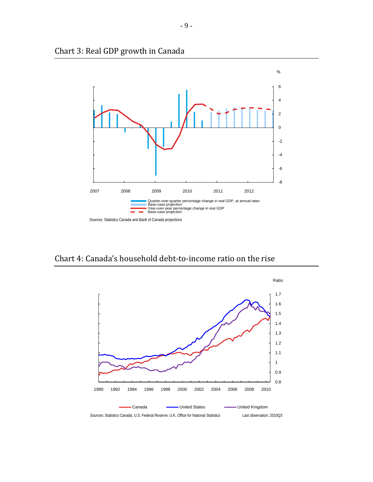

<span id="page-8-0"></span>Chart 3: Real GDP growth in Canada

Chart 4: Canada's household debt‐to‐income ratio on the rise

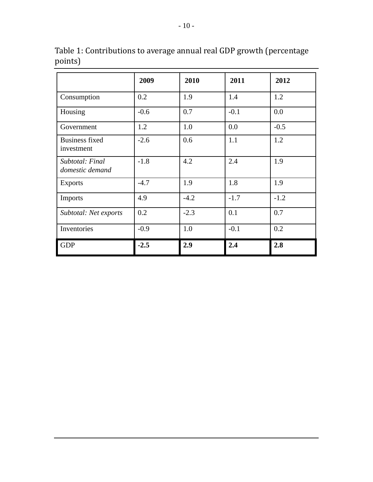|                                     | 2009   | 2010   | 2011   | 2012   |
|-------------------------------------|--------|--------|--------|--------|
| Consumption                         | 0.2    | 1.9    | 1.4    | 1.2    |
| Housing                             | $-0.6$ | 0.7    | $-0.1$ | 0.0    |
| Government                          | 1.2    | 1.0    | 0.0    | $-0.5$ |
| <b>Business fixed</b><br>investment | $-2.6$ | 0.6    | 1.1    | 1.2    |
| Subtotal: Final<br>domestic demand  | $-1.8$ | 4.2    | 2.4    | 1.9    |
| <b>Exports</b>                      | $-4.7$ | 1.9    | 1.8    | 1.9    |
| Imports                             | 4.9    | $-4.2$ | $-1.7$ | $-1.2$ |
| Subtotal: Net exports               | 0.2    | $-2.3$ | 0.1    | 0.7    |
| Inventories                         | $-0.9$ | 1.0    | $-0.1$ | 0.2    |
| <b>GDP</b>                          | $-2.5$ | 2.9    | 2.4    | 2.8    |

<span id="page-9-0"></span>Table 1: Contributions to average annual real GDP growth (percentage points)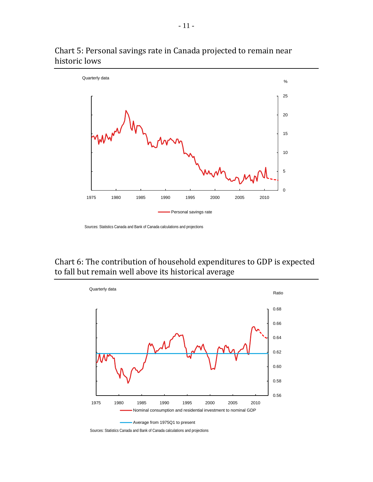

## <span id="page-10-0"></span>Chart 5: Personal savings rate in Canada projected to remain near historic lows

## Chart 6: The contribution of household expenditures to GDP is expected to fall but remain well above its historical average



Sources: Statistics Canada and Bank of Canada calculations and projections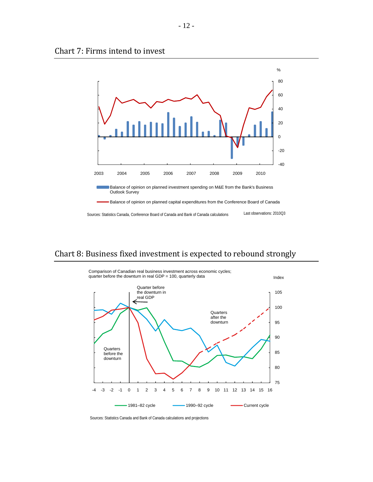<span id="page-11-0"></span>



### Chart 8: Business fixed investment is expected to rebound strongly



Sources: Statistics Canada and Bank of Canada calculations and projections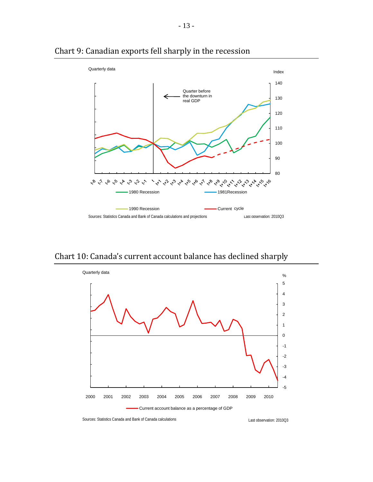

### <span id="page-12-0"></span>Chart 9: Canadian exports fell sharply in the recession

Chart 10: Canada's current account balance has declined sharply



Sources: Statistics Canada and Bank of Canada calculations Last observation: 2010Q3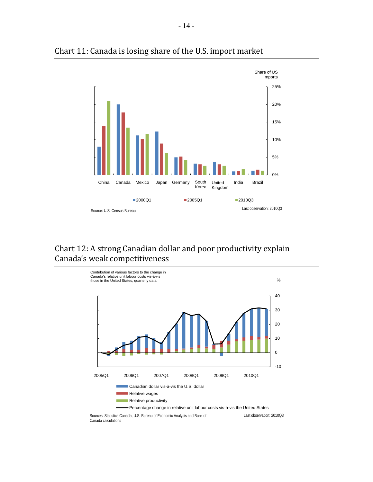

### <span id="page-13-0"></span>Chart 11: Canada is losing share of the U.S. import market

## Chart 12: A strong Canadian dollar and poor productivity explain Canada's weak competitiveness